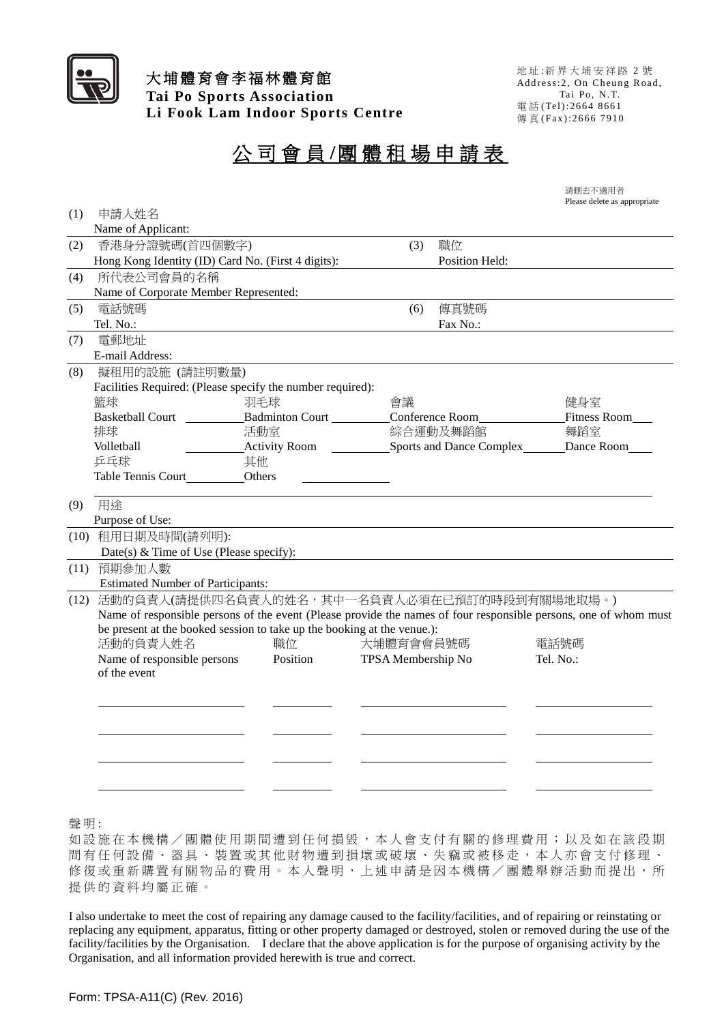

## 大埔體育會李福林體育館 **Tai Po Sports Association Li Fook Lam Indoor Sports Centre**

地 址 :新 界 大 埔 安 祥 路 2 號 Address: 2, On Cheung Road, Tai Po, N. T. 電 話 ( Tel) :2 6 6 4 8 66 1 傳 真 (Fax):2666 7910

## 公司會 員 **/**團體租場申請表

| 請刪去不適用者 |                              |
|---------|------------------------------|
|         | Please delete as appropriate |

| (1)  | 申請人姓名                                                                   |                        |                    |                        |                                                                                                                  |  |  |
|------|-------------------------------------------------------------------------|------------------------|--------------------|------------------------|------------------------------------------------------------------------------------------------------------------|--|--|
|      | Name of Applicant:                                                      |                        |                    |                        |                                                                                                                  |  |  |
| (2)  | 香港身分證號碼(首四個數字)                                                          |                        | (3)                | 職位                     |                                                                                                                  |  |  |
|      | Hong Kong Identity (ID) Card No. (First 4 digits):                      |                        |                    | Position Held:         |                                                                                                                  |  |  |
| (4)  | 所代表公司會員的名稱                                                              |                        |                    |                        |                                                                                                                  |  |  |
|      | Name of Corporate Member Represented:                                   |                        |                    |                        |                                                                                                                  |  |  |
| (5)  | 電話號碼                                                                    |                        | (6)                | 傳真號碼                   |                                                                                                                  |  |  |
|      | Tel. No.:                                                               |                        |                    | Fax No.:               |                                                                                                                  |  |  |
| (7)  | 電郵地址                                                                    |                        |                    |                        |                                                                                                                  |  |  |
|      | E-mail Address:                                                         |                        |                    |                        |                                                                                                                  |  |  |
| (8)  | 擬租用的設施 (請註明數量)                                                          |                        |                    |                        |                                                                                                                  |  |  |
|      | Facilities Required: (Please specify the number required):              |                        |                    |                        |                                                                                                                  |  |  |
|      | 籃球                                                                      | 羽毛球                    | 會議                 |                        | 健身室                                                                                                              |  |  |
|      | <b>Basketball Court</b>                                                 | <b>Badminton Court</b> |                    | <b>Conference Room</b> | <b>Fitness Room</b>                                                                                              |  |  |
|      | 排球                                                                      | 活動室                    |                    | 綜合運動及舞蹈館               | 舞蹈室                                                                                                              |  |  |
|      | Volletball                                                              | Activity Room          |                    |                        | Sports and Dance Complex<br><u>Dance Room</u>                                                                    |  |  |
|      | 乒乓球                                                                     | 其他                     |                    |                        |                                                                                                                  |  |  |
|      | Table Tennis Court                                                      | Others                 |                    |                        |                                                                                                                  |  |  |
| (9)  | 用途                                                                      |                        |                    |                        |                                                                                                                  |  |  |
|      | Purpose of Use:                                                         |                        |                    |                        |                                                                                                                  |  |  |
|      | (10) 租用日期及時間(請列明):                                                      |                        |                    |                        |                                                                                                                  |  |  |
|      | Date(s) $&$ Time of Use (Please specify):                               |                        |                    |                        |                                                                                                                  |  |  |
| (11) | 預期參加人數                                                                  |                        |                    |                        |                                                                                                                  |  |  |
|      | <b>Estimated Number of Participants:</b>                                |                        |                    |                        |                                                                                                                  |  |  |
| (12) | 活動的負責人(請提供四名負責人的姓名,其中一名負責人必須在已預訂的時段到有關場地取場。)                            |                        |                    |                        |                                                                                                                  |  |  |
|      |                                                                         |                        |                    |                        | Name of responsible persons of the event (Please provide the names of four responsible persons, one of whom must |  |  |
|      | be present at the booked session to take up the booking at the venue.): |                        |                    |                        |                                                                                                                  |  |  |
|      | 活動的負責人姓名                                                                | 職位                     | 大埔體育會會員號碼          |                        | 電話號碼                                                                                                             |  |  |
|      | Name of responsible persons                                             | Position               | TPSA Membership No |                        | Tel. $No.$ :                                                                                                     |  |  |
|      | of the event                                                            |                        |                    |                        |                                                                                                                  |  |  |
|      |                                                                         |                        |                    |                        |                                                                                                                  |  |  |
|      |                                                                         |                        |                    |                        |                                                                                                                  |  |  |
|      |                                                                         |                        |                    |                        |                                                                                                                  |  |  |
|      |                                                                         |                        |                    |                        |                                                                                                                  |  |  |
|      |                                                                         |                        |                    |                        |                                                                                                                  |  |  |
|      |                                                                         |                        |                    |                        |                                                                                                                  |  |  |
|      |                                                                         |                        |                    |                        |                                                                                                                  |  |  |
|      |                                                                         |                        |                    |                        |                                                                                                                  |  |  |
| 聲明:  |                                                                         |                        |                    |                        |                                                                                                                  |  |  |

如設施在本機構/團體使用期間遭到任何損毀,本人會支付有關的修理費用;以及如在該段期 間有任何設備、器具、裝置或其他財物遭到損壞或破壞、失竊或被移走,本人亦會支付修理、 修復或重新購置有關物品的費用。本人聲明,上述申請是因本機構/團體舉辦活動而提出,所 提供的資料均屬正確。

I also undertake to meet the cost of repairing any damage caused to the facility/facilities, and of repairing or reinstating or replacing any equipment, apparatus, fitting or other property damaged or destroyed, stolen or removed during the use of the facility/facilities by the Organisation. I declare that the above application is for the purpose of organising activity by the Organisation, and all information provided herewith is true and correct.